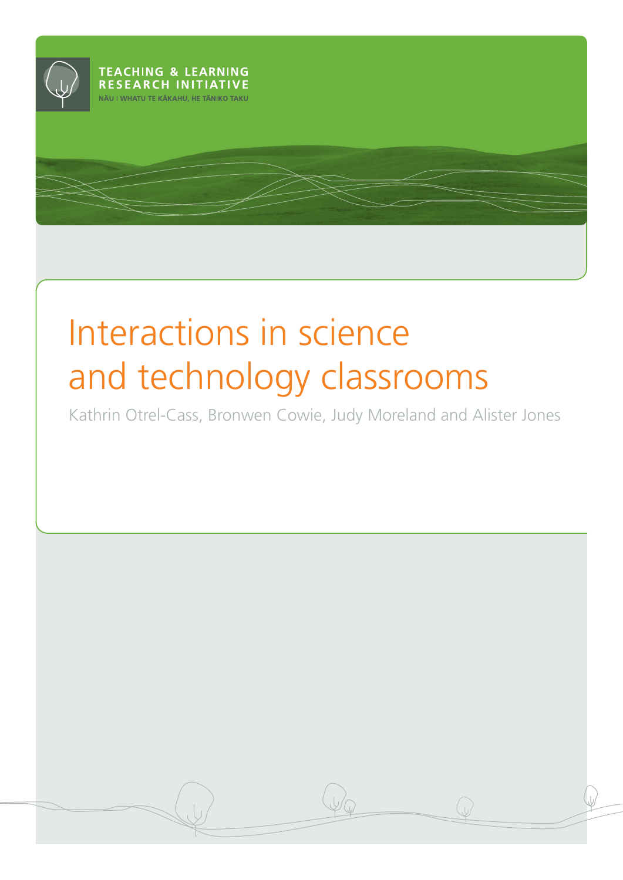

# Interactions in science and technology classrooms

Kathrin Otrel-Cass, Bronwen Cowie, Judy Moreland and Alister Jones

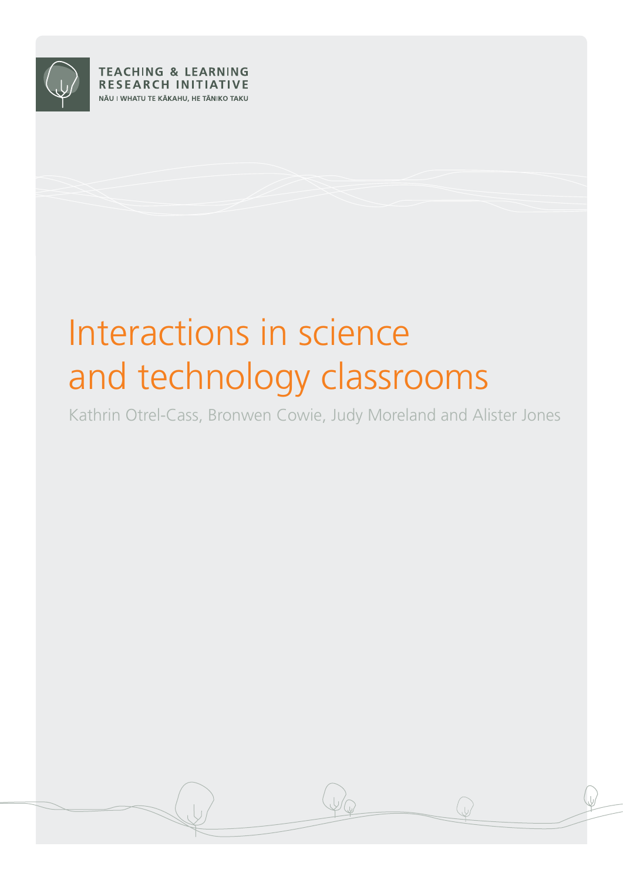

**TEACHING & LEARNING RESEARCH INITIATIVE** NĀU I WHATU TE KĀKAHU, HE TĀNIKO TAKU

# Interactions in science and technology classrooms

Kathrin Otrel-Cass, Bronwen Cowie, Judy Moreland and Alister Jones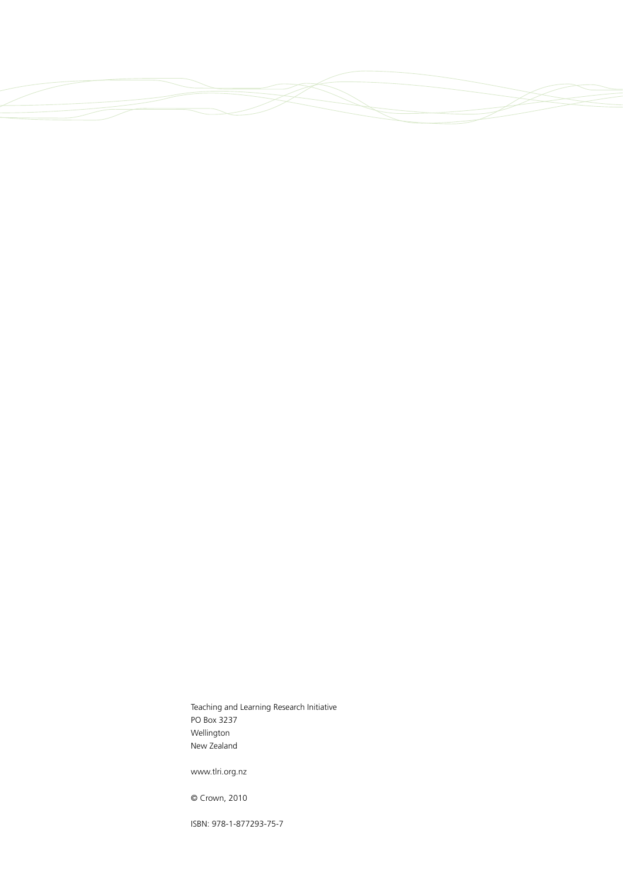Teaching and Learning Research Initiative PO Box 3237 Wellington New Zealand

www.tlri.org.nz

© Crown, 2010

ISBN: 978-1-877293-75-7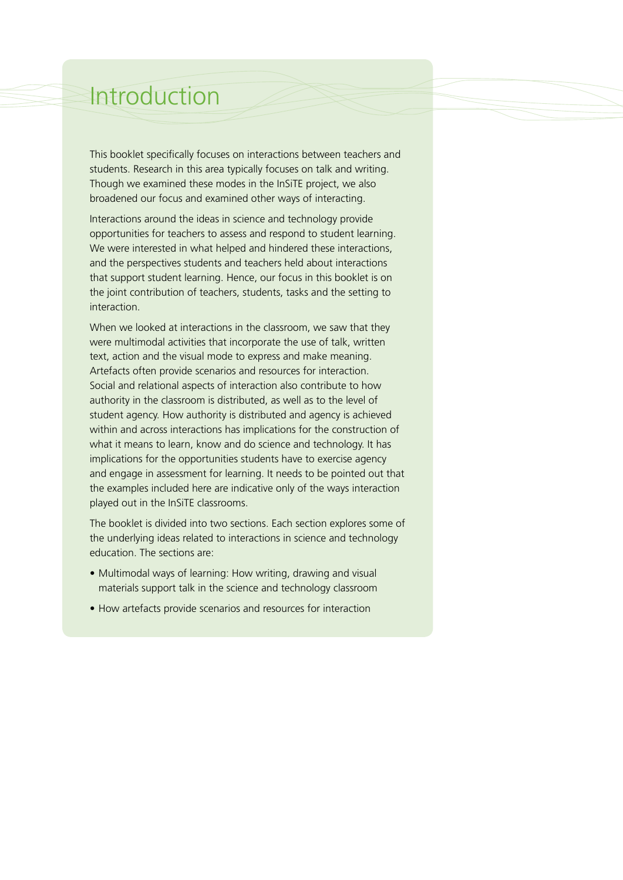# Introduction

This booklet specifically focuses on interactions between teachers and students. Research in this area typically focuses on talk and writing. Though we examined these modes in the InSiTE project, we also broadened our focus and examined other ways of interacting.

Interactions around the ideas in science and technology provide opportunities for teachers to assess and respond to student learning. We were interested in what helped and hindered these interactions, and the perspectives students and teachers held about interactions that support student learning. Hence, our focus in this booklet is on the joint contribution of teachers, students, tasks and the setting to interaction.

When we looked at interactions in the classroom, we saw that they were multimodal activities that incorporate the use of talk, written text, action and the visual mode to express and make meaning. Artefacts often provide scenarios and resources for interaction. Social and relational aspects of interaction also contribute to how authority in the classroom is distributed, as well as to the level of student agency. How authority is distributed and agency is achieved within and across interactions has implications for the construction of what it means to learn, know and do science and technology. It has implications for the opportunities students have to exercise agency and engage in assessment for learning. It needs to be pointed out that the examples included here are indicative only of the ways interaction played out in the InSiTE classrooms.

The booklet is divided into two sections. Each section explores some of the underlying ideas related to interactions in science and technology education. The sections are:

- Multimodal ways of learning: How writing, drawing and visual materials support talk in the science and technology classroom
- How artefacts provide scenarios and resources for interaction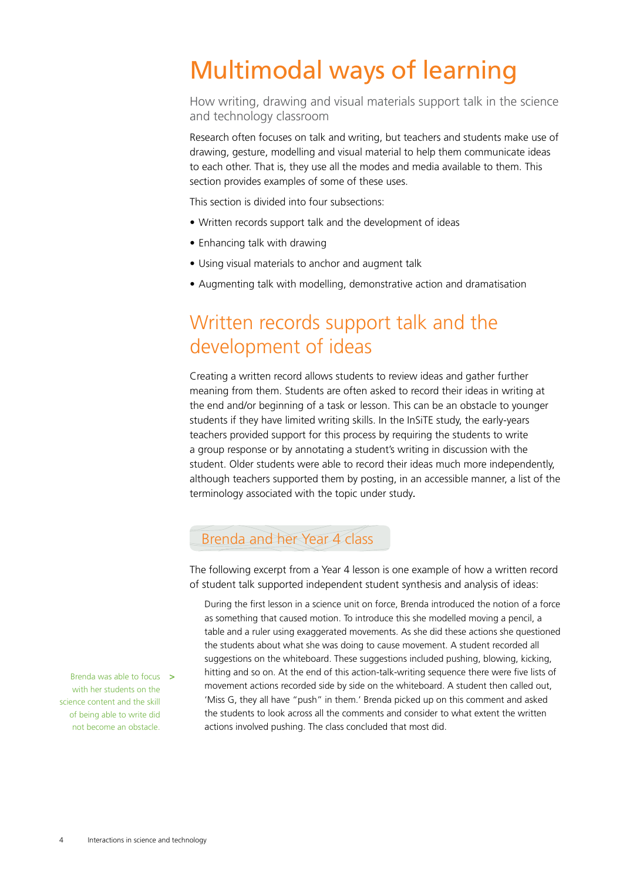# Multimodal ways of learning

How writing, drawing and visual materials support talk in the science and technology classroom

Research often focuses on talk and writing, but teachers and students make use of drawing, gesture, modelling and visual material to help them communicate ideas to each other. That is, they use all the modes and media available to them. This section provides examples of some of these uses.

This section is divided into four subsections:

- Written records support talk and the development of ideas
- Enhancing talk with drawing
- Using visual materials to anchor and augment talk
- Augmenting talk with modelling, demonstrative action and dramatisation

### Written records support talk and the development of ideas

Creating a written record allows students to review ideas and gather further meaning from them. Students are often asked to record their ideas in writing at the end and/or beginning of a task or lesson. This can be an obstacle to younger students if they have limited writing skills. In the InSiTE study, the early-years teachers provided support for this process by requiring the students to write a group response or by annotating a student's writing in discussion with the student. Older students were able to record their ideas much more independently, although teachers supported them by posting, in an accessible manner, a list of the terminology associated with the topic under study*.* 

#### Brenda and her Year 4 class

The following excerpt from a Year 4 lesson is one example of how a written record of student talk supported independent student synthesis and analysis of ideas:

During the first lesson in a science unit on force, Brenda introduced the notion of a force as something that caused motion. To introduce this she modelled moving a pencil, a table and a ruler using exaggerated movements. As she did these actions she questioned the students about what she was doing to cause movement. A student recorded all suggestions on the whiteboard. These suggestions included pushing, blowing, kicking, hitting and so on. At the end of this action-talk-writing sequence there were five lists of movement actions recorded side by side on the whiteboard. A student then called out, 'Miss G, they all have "push" in them.' Brenda picked up on this comment and asked the students to look across all the comments and consider to what extent the written actions involved pushing. The class concluded that most did.

Brenda was able to focus **>** with her students on the science content and the skill of being able to write did not become an obstacle.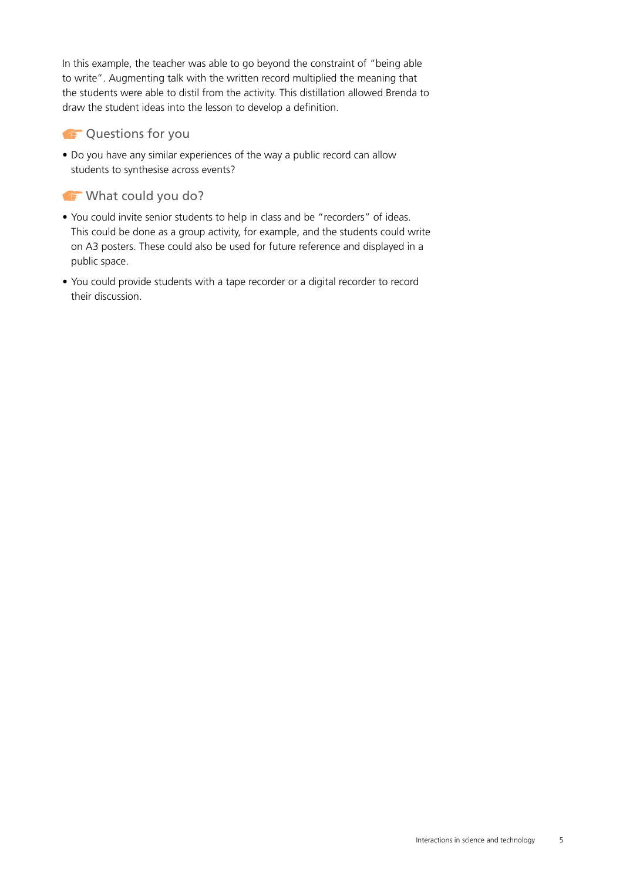In this example, the teacher was able to go beyond the constraint of "being able to write". Augmenting talk with the written record multiplied the meaning that the students were able to distil from the activity. This distillation allowed Brenda to draw the student ideas into the lesson to develop a definition.

#### **COUNTER COUNTER** CURLE TO YOU

• Do you have any similar experiences of the way a public record can allow students to synthesise across events?

#### What could you do?

- You could invite senior students to help in class and be "recorders" of ideas. This could be done as a group activity, for example, and the students could write on A3 posters. These could also be used for future reference and displayed in a public space.
- You could provide students with a tape recorder or a digital recorder to record their discussion.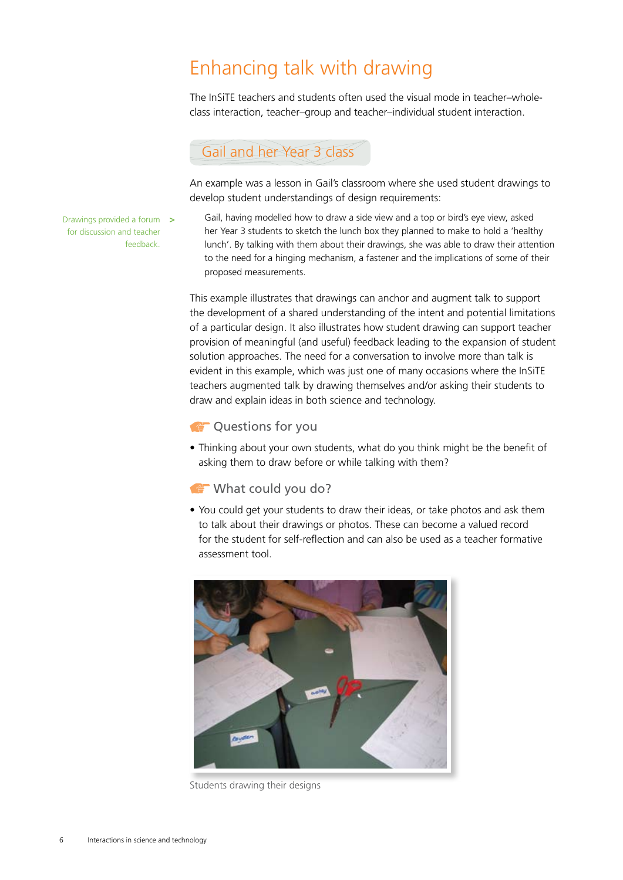## Enhancing talk with drawing

The InSiTE teachers and students often used the visual mode in teacher–wholeclass interaction, teacher–group and teacher–individual student interaction.

### Gail and her Year 3 class

An example was a lesson in Gail's classroom where she used student drawings to develop student understandings of design requirements:

Drawings provided a forum **>** for discussion and teacher feedback.

Gail, having modelled how to draw a side view and a top or bird's eye view, asked her Year 3 students to sketch the lunch box they planned to make to hold a 'healthy lunch'. By talking with them about their drawings, she was able to draw their attention to the need for a hinging mechanism, a fastener and the implications of some of their proposed measurements.

This example illustrates that drawings can anchor and augment talk to support the development of a shared understanding of the intent and potential limitations of a particular design. It also illustrates how student drawing can support teacher provision of meaningful (and useful) feedback leading to the expansion of student solution approaches. The need for a conversation to involve more than talk is evident in this example, which was just one of many occasions where the InSiTE teachers augmented talk by drawing themselves and/or asking their students to draw and explain ideas in both science and technology.

#### **CO** Questions for you

• Thinking about your own students, what do you think might be the benefit of asking them to draw before or while talking with them?

#### What could you do?

• You could get your students to draw their ideas, or take photos and ask them to talk about their drawings or photos. These can become a valued record for the student for self-reflection and can also be used as a teacher formative assessment tool.



Students drawing their designs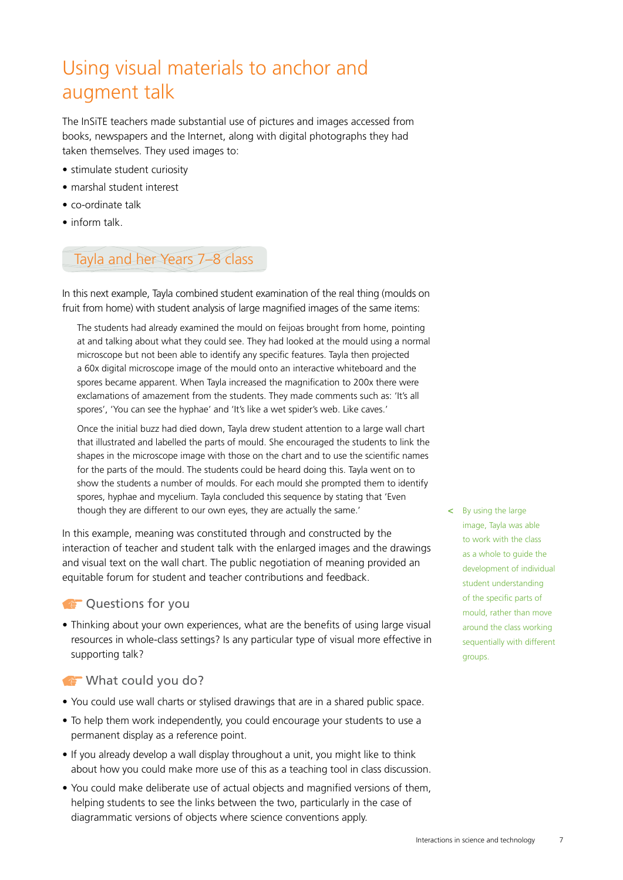# Using visual materials to anchor and augment talk

The InSiTE teachers made substantial use of pictures and images accessed from books, newspapers and the Internet, along with digital photographs they had taken themselves. They used images to:

- stimulate student curiosity
- marshal student interest
- co-ordinate talk
- inform talk.

### Tayla and her Years 7–8 class

In this next example, Tayla combined student examination of the real thing (moulds on fruit from home) with student analysis of large magnified images of the same items:

The students had already examined the mould on feijoas brought from home, pointing at and talking about what they could see. They had looked at the mould using a normal microscope but not been able to identify any specific features. Tayla then projected a 60x digital microscope image of the mould onto an interactive whiteboard and the spores became apparent. When Tayla increased the magnification to 200x there were exclamations of amazement from the students. They made comments such as: 'It's all spores', 'You can see the hyphae' and 'It's like a wet spider's web. Like caves.'

Once the initial buzz had died down, Tayla drew student attention to a large wall chart that illustrated and labelled the parts of mould. She encouraged the students to link the shapes in the microscope image with those on the chart and to use the scientific names for the parts of the mould. The students could be heard doing this. Tayla went on to show the students a number of moulds. For each mould she prompted them to identify spores, hyphae and mycelium. Tayla concluded this sequence by stating that 'Even though they are different to our own eyes, they are actually the same.'

In this example, meaning was constituted through and constructed by the interaction of teacher and student talk with the enlarged images and the drawings and visual text on the wall chart. The public negotiation of meaning provided an equitable forum for student and teacher contributions and feedback.

#### **COUNTER ST QUESTIONS FOR YOU**

• Thinking about your own experiences, what are the benefits of using large visual resources in whole-class settings? Is any particular type of visual more effective in supporting talk?

#### What could you do?

- You could use wall charts or stylised drawings that are in a shared public space.
- To help them work independently, you could encourage your students to use a permanent display as a reference point.
- If you already develop a wall display throughout a unit, you might like to think about how you could make more use of this as a teaching tool in class discussion.
- You could make deliberate use of actual objects and magnified versions of them, helping students to see the links between the two, particularly in the case of diagrammatic versions of objects where science conventions apply.

**<** By using the large image, Tayla was able to work with the class as a whole to guide the development of individual student understanding of the specific parts of mould, rather than move around the class working sequentially with different groups.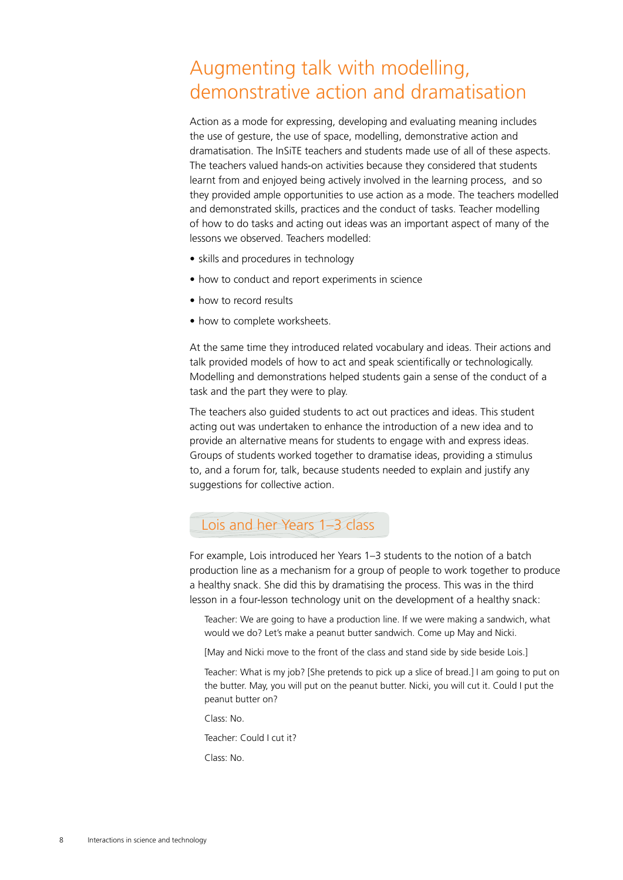## Augmenting talk with modelling, demonstrative action and dramatisation

Action as a mode for expressing, developing and evaluating meaning includes the use of gesture, the use of space, modelling, demonstrative action and dramatisation. The InSiTE teachers and students made use of all of these aspects. The teachers valued hands-on activities because they considered that students learnt from and enjoyed being actively involved in the learning process, and so they provided ample opportunities to use action as a mode. The teachers modelled and demonstrated skills, practices and the conduct of tasks. Teacher modelling of how to do tasks and acting out ideas was an important aspect of many of the lessons we observed. Teachers modelled:

- skills and procedures in technology
- how to conduct and report experiments in science
- how to record results
- how to complete worksheets.

At the same time they introduced related vocabulary and ideas. Their actions and talk provided models of how to act and speak scientifically or technologically. Modelling and demonstrations helped students gain a sense of the conduct of a task and the part they were to play.

The teachers also guided students to act out practices and ideas. This student acting out was undertaken to enhance the introduction of a new idea and to provide an alternative means for students to engage with and express ideas. Groups of students worked together to dramatise ideas, providing a stimulus to, and a forum for, talk, because students needed to explain and justify any suggestions for collective action.

### Lois and her Years 1-3 class

For example, Lois introduced her Years 1–3 students to the notion of a batch production line as a mechanism for a group of people to work together to produce a healthy snack. She did this by dramatising the process. This was in the third lesson in a four-lesson technology unit on the development of a healthy snack:

Teacher: We are going to have a production line. If we were making a sandwich, what would we do? Let's make a peanut butter sandwich. Come up May and Nicki.

[May and Nicki move to the front of the class and stand side by side beside Lois.]

Teacher: What is my job? [She pretends to pick up a slice of bread.] I am going to put on the butter. May, you will put on the peanut butter. Nicki, you will cut it. Could I put the peanut butter on?

Class: No.

Teacher: Could I cut it?

Class: No.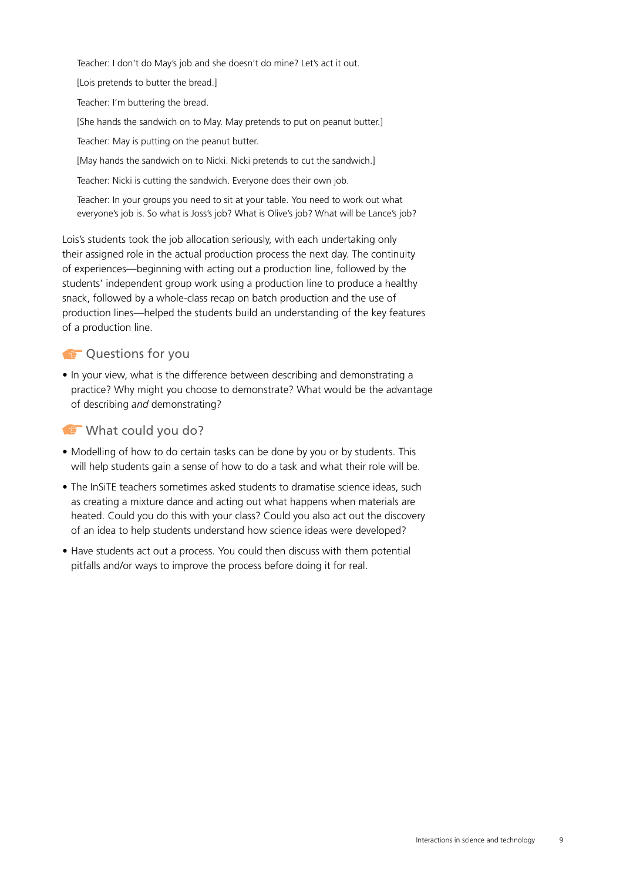Teacher: I don't do May's job and she doesn't do mine? Let's act it out.

[Lois pretends to butter the bread.]

Teacher: I'm buttering the bread.

[She hands the sandwich on to May. May pretends to put on peanut butter.]

Teacher: May is putting on the peanut butter.

[May hands the sandwich on to Nicki. Nicki pretends to cut the sandwich.]

Teacher: Nicki is cutting the sandwich. Everyone does their own job.

Teacher: In your groups you need to sit at your table. You need to work out what everyone's job is. So what is Joss's job? What is Olive's job? What will be Lance's job?

Lois's students took the job allocation seriously, with each undertaking only their assigned role in the actual production process the next day. The continuity of experiences—beginning with acting out a production line, followed by the students' independent group work using a production line to produce a healthy snack, followed by a whole-class recap on batch production and the use of production lines—helped the students build an understanding of the key features of a production line.

#### **CO** Questions for you

• In your view, what is the difference between describing and demonstrating a practice? Why might you choose to demonstrate? What would be the advantage of describing *and* demonstrating?

#### What could you do?

- Modelling of how to do certain tasks can be done by you or by students. This will help students gain a sense of how to do a task and what their role will be.
- The InSiTE teachers sometimes asked students to dramatise science ideas, such as creating a mixture dance and acting out what happens when materials are heated. Could you do this with your class? Could you also act out the discovery of an idea to help students understand how science ideas were developed?
- Have students act out a process. You could then discuss with them potential pitfalls and/or ways to improve the process before doing it for real.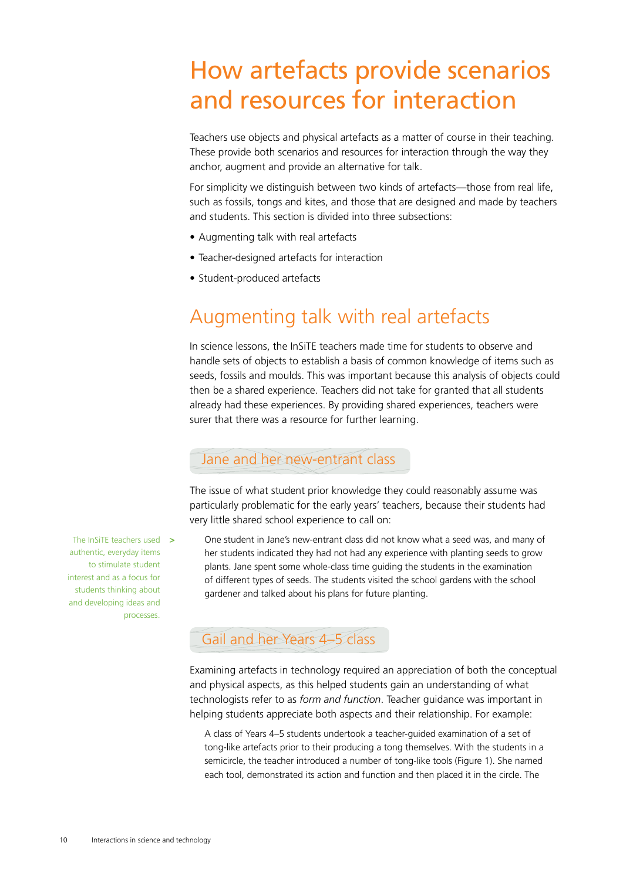# How artefacts provide scenarios and resources for interaction

Teachers use objects and physical artefacts as a matter of course in their teaching. These provide both scenarios and resources for interaction through the way they anchor, augment and provide an alternative for talk.

For simplicity we distinguish between two kinds of artefacts—those from real life, such as fossils, tongs and kites, and those that are designed and made by teachers and students. This section is divided into three subsections:

- Augmenting talk with real artefacts
- Teacher-designed artefacts for interaction
- Student-produced artefacts

### Augmenting talk with real artefacts

In science lessons, the InSiTE teachers made time for students to observe and handle sets of objects to establish a basis of common knowledge of items such as seeds, fossils and moulds. This was important because this analysis of objects could then be a shared experience. Teachers did not take for granted that all students already had these experiences. By providing shared experiences, teachers were surer that there was a resource for further learning.

#### Jane and her new-entrant class

The issue of what student prior knowledge they could reasonably assume was particularly problematic for the early years' teachers, because their students had very little shared school experience to call on:

One student in Jane's new-entrant class did not know what a seed was, and many of her students indicated they had not had any experience with planting seeds to grow plants. Jane spent some whole-class time guiding the students in the examination of different types of seeds. The students visited the school gardens with the school gardener and talked about his plans for future planting.

#### Gail and her Years 4–5 class

Examining artefacts in technology required an appreciation of both the conceptual and physical aspects, as this helped students gain an understanding of what technologists refer to as *form and function*. Teacher guidance was important in helping students appreciate both aspects and their relationship. For example:

A class of Years 4–5 students undertook a teacher-guided examination of a set of tong-like artefacts prior to their producing a tong themselves. With the students in a semicircle, the teacher introduced a number of tong-like tools (Figure 1). She named each tool, demonstrated its action and function and then placed it in the circle. The

The InSiTE teachers used **>** authentic, everyday items to stimulate student interest and as a focus for students thinking about and developing ideas and processes.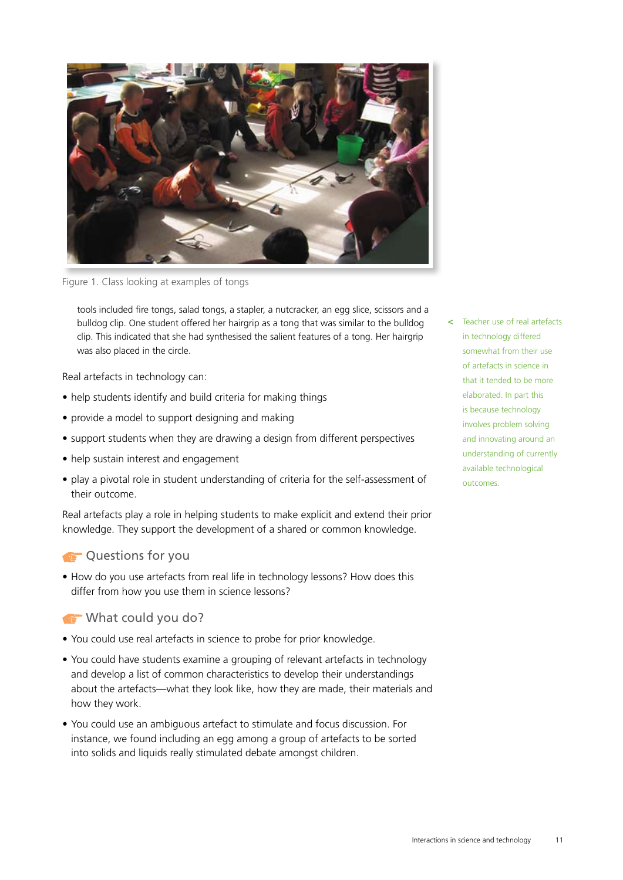

Figure 1. Class looking at examples of tongs

tools included fire tongs, salad tongs, a stapler, a nutcracker, an egg slice, scissors and a bulldog clip. One student offered her hairgrip as a tong that was similar to the bulldog clip. This indicated that she had synthesised the salient features of a tong. Her hairgrip was also placed in the circle.

Real artefacts in technology can:

- help students identify and build criteria for making things
- provide a model to support designing and making
- support students when they are drawing a design from different perspectives
- help sustain interest and engagement
- play a pivotal role in student understanding of criteria for the self-assessment of their outcome.

Real artefacts play a role in helping students to make explicit and extend their prior knowledge. They support the development of a shared or common knowledge.

#### **COUNTER CONCERNATION**

• How do you use artefacts from real life in technology lessons? How does this differ from how you use them in science lessons?

#### What could you do?

- You could use real artefacts in science to probe for prior knowledge.
- You could have students examine a grouping of relevant artefacts in technology and develop a list of common characteristics to develop their understandings about the artefacts—what they look like, how they are made, their materials and how they work.
- You could use an ambiguous artefact to stimulate and focus discussion. For instance, we found including an egg among a group of artefacts to be sorted into solids and liquids really stimulated debate amongst children.

**<** Teacher use of real artefacts in technology differed somewhat from their use of artefacts in science in that it tended to be more elaborated. In part this is because technology involves problem solving and innovating around an understanding of currently available technological outcomes.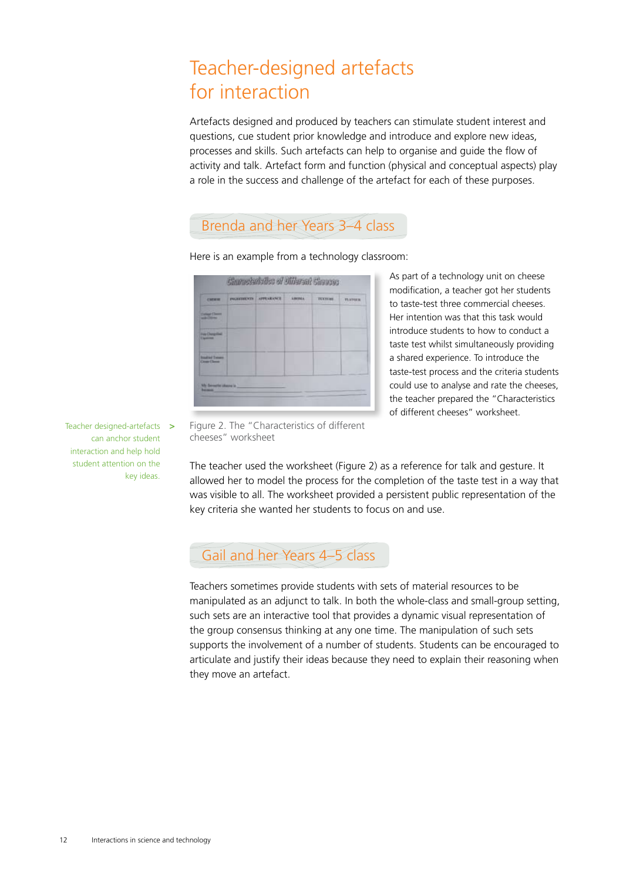## Teacher-designed artefacts for interaction

Artefacts designed and produced by teachers can stimulate student interest and questions, cue student prior knowledge and introduce and explore new ideas, processes and skills. Such artefacts can help to organise and guide the flow of activity and talk. Artefact form and function (physical and conceptual aspects) play a role in the success and challenge of the artefact for each of these purposes.

### Brenda and her Years 3–4 class

Correcteristics of Officent Cheeses **CHERI**  $rac{1}{2}$  $n_{\text{AB}}$ Design Ch

Here is an example from a technology classroom:

As part of a technology unit on cheese modification, a teacher got her students to taste-test three commercial cheeses. Her intention was that this task would introduce students to how to conduct a taste test whilst simultaneously providing a shared experience. To introduce the taste-test process and the criteria students could use to analyse and rate the cheeses, the teacher prepared the "Characteristics of different cheeses" worksheet.

Teacher designed-artefacts **>** can anchor student interaction and help hold student attention on the key ideas.

Figure 2. The "Characteristics of different cheeses" worksheet

The teacher used the worksheet (Figure 2) as a reference for talk and gesture. It allowed her to model the process for the completion of the taste test in a way that was visible to all. The worksheet provided a persistent public representation of the key criteria she wanted her students to focus on and use.

### Gail and her Years 4–5 class

Teachers sometimes provide students with sets of material resources to be manipulated as an adjunct to talk. In both the whole-class and small-group setting, such sets are an interactive tool that provides a dynamic visual representation of the group consensus thinking at any one time. The manipulation of such sets supports the involvement of a number of students. Students can be encouraged to articulate and justify their ideas because they need to explain their reasoning when they move an artefact.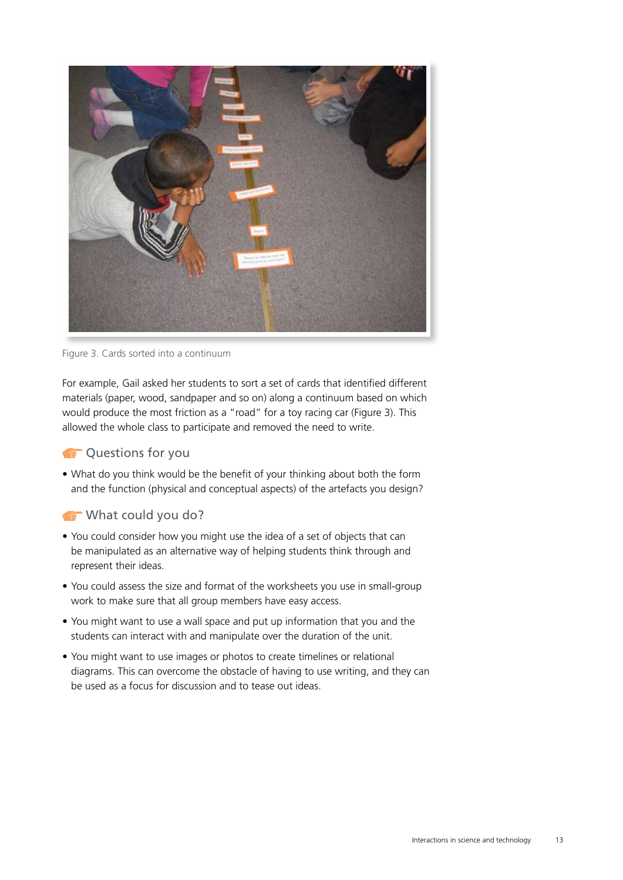

Figure 3. Cards sorted into a continuum

For example, Gail asked her students to sort a set of cards that identified different materials (paper, wood, sandpaper and so on) along a continuum based on which would produce the most friction as a "road" for a toy racing car (Figure 3). This allowed the whole class to participate and removed the need to write.

#### **CO** Questions for you

• What do you think would be the benefit of your thinking about both the form and the function (physical and conceptual aspects) of the artefacts you design?

#### What could you do?

- You could consider how you might use the idea of a set of objects that can be manipulated as an alternative way of helping students think through and represent their ideas.
- You could assess the size and format of the worksheets you use in small-group work to make sure that all group members have easy access.
- You might want to use a wall space and put up information that you and the students can interact with and manipulate over the duration of the unit.
- You might want to use images or photos to create timelines or relational diagrams. This can overcome the obstacle of having to use writing, and they can be used as a focus for discussion and to tease out ideas.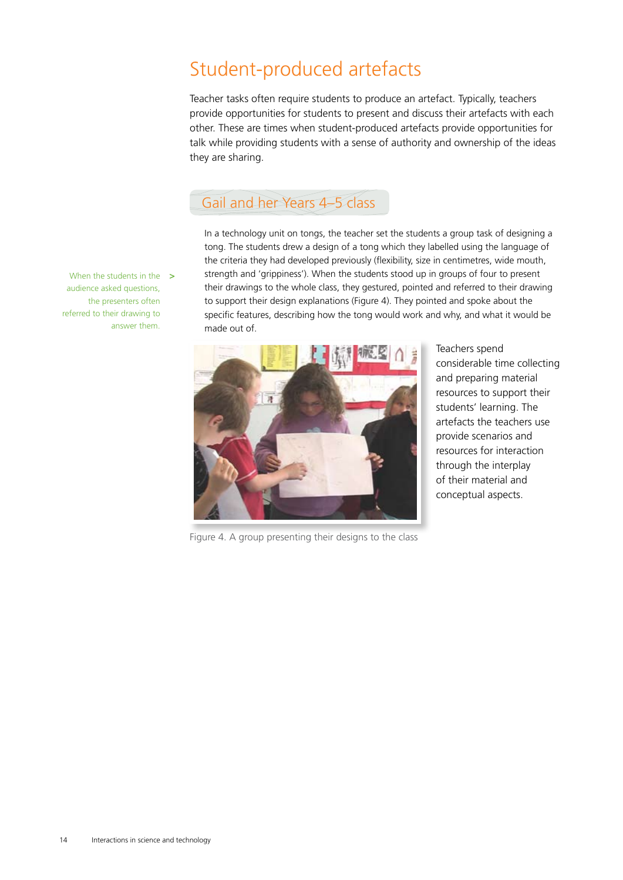## Student-produced artefacts

Teacher tasks often require students to produce an artefact. Typically, teachers provide opportunities for students to present and discuss their artefacts with each other. These are times when student-produced artefacts provide opportunities for talk while providing students with a sense of authority and ownership of the ideas they are sharing.

### Gail and her Years 4–5 class

In a technology unit on tongs, the teacher set the students a group task of designing a tong. The students drew a design of a tong which they labelled using the language of the criteria they had developed previously (flexibility, size in centimetres, wide mouth, strength and 'grippiness'). When the students stood up in groups of four to present their drawings to the whole class, they gestured, pointed and referred to their drawing to support their design explanations (Figure 4). They pointed and spoke about the specific features, describing how the tong would work and why, and what it would be made out of.



Teachers spend considerable time collecting and preparing material resources to support their students' learning. The artefacts the teachers use provide scenarios and resources for interaction through the interplay of their material and conceptual aspects.

When the students in the **>** audience asked questions, the presenters often referred to their drawing to answer them.

Figure 4. A group presenting their designs to the class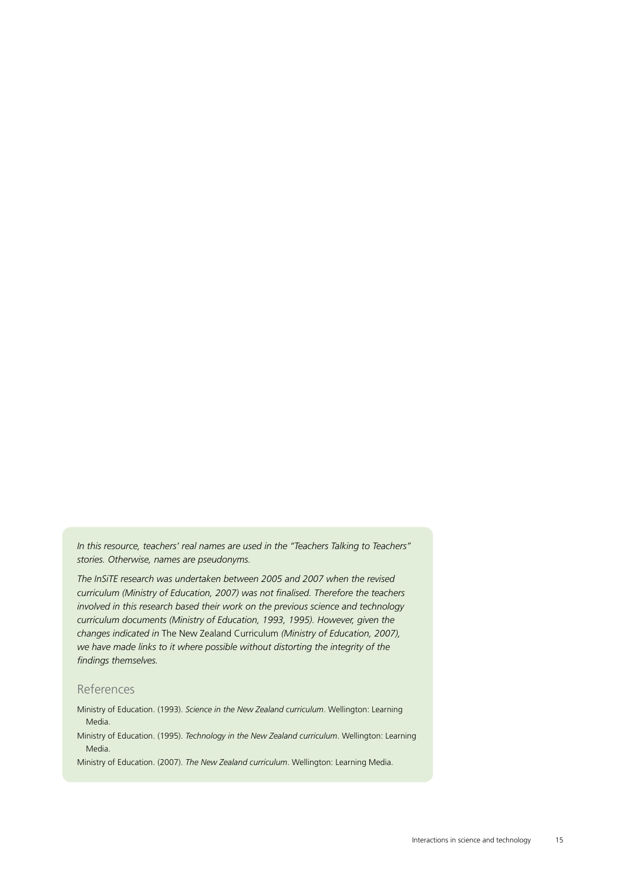*In this resource, teachers' real names are used in the "Teachers Talking to Teachers" stories. Otherwise, names are pseudonyms.*

*The InSiTE research was undertaken between 2005 and 2007 when the revised curriculum (Ministry of Education, 2007) was not finalised. Therefore the teachers involved in this research based their work on the previous science and technology curriculum documents (Ministry of Education, 1993, 1995). However, given the changes indicated in* The New Zealand Curriculum *(Ministry of Education, 2007), we have made links to it where possible without distorting the integrity of the findings themselves.*

#### References

Ministry of Education. (1993). *Science in the New Zealand curriculum*. Wellington: Learning Media.

Ministry of Education. (1995). *Technology in the New Zealand curriculum*. Wellington: Learning Media.

Ministry of Education. (2007). *The New Zealand curriculum*. Wellington: Learning Media.